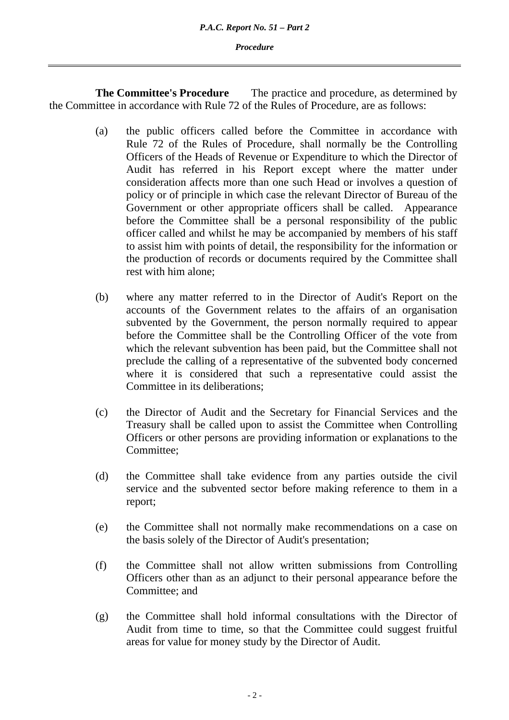*Procedure* 

**The Committee's Procedure** The practice and procedure, as determined by the Committee in accordance with Rule 72 of the Rules of Procedure, are as follows:

- (a) the public officers called before the Committee in accordance with Rule 72 of the Rules of Procedure, shall normally be the Controlling Officers of the Heads of Revenue or Expenditure to which the Director of Audit has referred in his Report except where the matter under consideration affects more than one such Head or involves a question of policy or of principle in which case the relevant Director of Bureau of the Government or other appropriate officers shall be called. Appearance before the Committee shall be a personal responsibility of the public officer called and whilst he may be accompanied by members of his staff to assist him with points of detail, the responsibility for the information or the production of records or documents required by the Committee shall rest with him alone;
- (b) where any matter referred to in the Director of Audit's Report on the accounts of the Government relates to the affairs of an organisation subvented by the Government, the person normally required to appear before the Committee shall be the Controlling Officer of the vote from which the relevant subvention has been paid, but the Committee shall not preclude the calling of a representative of the subvented body concerned where it is considered that such a representative could assist the Committee in its deliberations;
- (c) the Director of Audit and the Secretary for Financial Services and the Treasury shall be called upon to assist the Committee when Controlling Officers or other persons are providing information or explanations to the Committee;
- (d) the Committee shall take evidence from any parties outside the civil service and the subvented sector before making reference to them in a report;
- (e) the Committee shall not normally make recommendations on a case on the basis solely of the Director of Audit's presentation;
- (f) the Committee shall not allow written submissions from Controlling Officers other than as an adjunct to their personal appearance before the Committee; and
- (g) the Committee shall hold informal consultations with the Director of Audit from time to time, so that the Committee could suggest fruitful areas for value for money study by the Director of Audit.